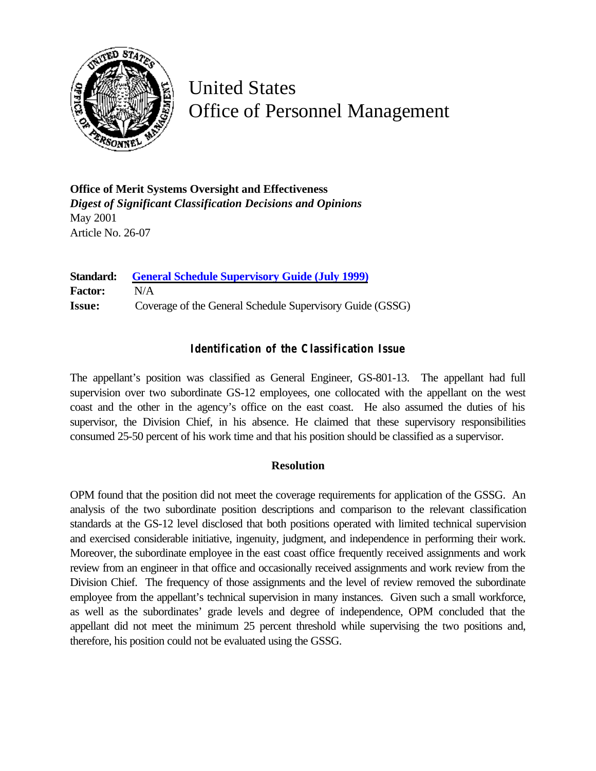

United States Office of Personnel Management

**Office of Merit Systems Oversight and Effectiveness** *Digest of Significant Classification Decisions and Opinions* May 2001 Article No. 26-07

**Standard: [General Schedule Supervisory Guide \(July 1999\)](http://www.opm.gov/fedclass/gssg.pdf) Factor:** N/A **Issue:** Coverage of the General Schedule Supervisory Guide (GSSG)

## **Identification of the Classification Issue**

The appellant's position was classified as General Engineer, GS-801-13. The appellant had full supervision over two subordinate GS-12 employees, one collocated with the appellant on the west coast and the other in the agency's office on the east coast. He also assumed the duties of his supervisor, the Division Chief, in his absence. He claimed that these supervisory responsibilities consumed 25-50 percent of his work time and that his position should be classified as a supervisor.

## **Resolution**

OPM found that the position did not meet the coverage requirements for application of the GSSG. An analysis of the two subordinate position descriptions and comparison to the relevant classification standards at the GS-12 level disclosed that both positions operated with limited technical supervision and exercised considerable initiative, ingenuity, judgment, and independence in performing their work. Moreover, the subordinate employee in the east coast office frequently received assignments and work review from an engineer in that office and occasionally received assignments and work review from the Division Chief. The frequency of those assignments and the level of review removed the subordinate employee from the appellant's technical supervision in many instances. Given such a small workforce, as well as the subordinates' grade levels and degree of independence, OPM concluded that the appellant did not meet the minimum 25 percent threshold while supervising the two positions and, therefore, his position could not be evaluated using the GSSG.